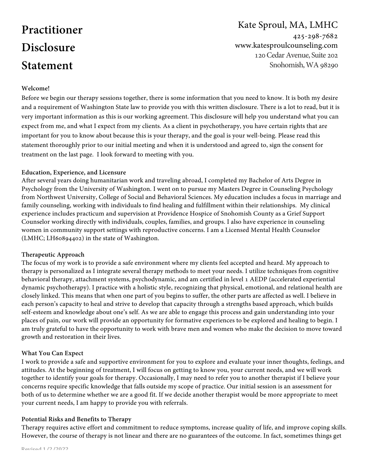# **Practitioner Disclosure Statement**

# Kate Sproul, MA, LMHC 425-298-7682 www.katesproulcounseling.com 120Cedar Avenue, Suite 202 Snohomish,WA 98290

# **Welcome!**

Before we begin our therapy sessions together, there is some information that you need to know. It is both my desire and a requirement of Washington State law to provide you with this written disclosure. There is a lot to read, but it is very important information as this is our working agreement. This disclosure will help you understand what you can expect from me, and what I expect from my clients. As a client in psychotherapy, you have certain rights that are important for you to know about because this is your therapy, and the goal is your well-being. Please read this statement thoroughly prior to our initial meeting and when it is understood and agreed to, sign the consent for treatment on the last page. I look forward to meeting with you.

#### **Education, Experience, and Licensure**

After several years doing humanitarian work and traveling abroad, I completed my Bachelor of Arts Degree in Psychology from the University of Washington. I went on to pursue my Masters Degree in Counseling Psychology from Northwest University, College of Social and Behavioral Sciences. My education includes a focus in marriage and family counseling, working with individuals to find healing and fulfillment within their relationships. My clinical experience includes practicum and supervision at Providence Hospice of Snohomish County as a Grief Support Counselor working directly with individuals, couples, families, and groups. I also have experience in counseling women in community support settings with reproductive concerns. I am a Licensed Mental Health Counselor (LMHC; LH60894402) in the state of Washington.

#### **Therapeutic Approach**

The focus of my work is to provide a safe environment where my clients feel accepted and heard. My approach to therapy is personalized as I integrate several therapy methods to meet your needs. I utilize techniques from cognitive behavioral therapy, attachment systems, psychodynamic, and am certified in level 1 AEDP (accelerated experiential dynamic psychotherapy). I practice with a holistic style, recognizing that physical, emotional, and relational health are closely linked. This means that when one part of you begins to suffer, the other parts are affected as well. I believe in each person's capacity to heal and strive to develop that capacity through a strengths based approach, which builds self-esteem and knowledge about one's self. As we are able to engage this process and gain understanding into your places of pain, our work will provide an opportunity for formative experiences to be explored and healing to begin. I am truly grateful to have the opportunity to work with brave men and women who make the decision to move toward growth and restoration in their lives.

# **What You Can Expect**

I work to provide a safe and supportive environment for you to explore and evaluate your inner thoughts, feelings, and attitudes. At the beginning of treatment, I will focus on getting to know you, your current needs, and we will work together to identify your goals for therapy. Occasionally, I may need to refer you to another therapist if I believe your concerns require specific knowledge that falls outside my scope of practice. Our initial session is an assessment for both of us to determine whether we are a good fit. If we decide another therapist would be more appropriate to meet your current needs, I am happy to provide you with referrals.

# **Potential Risks and Benefits to Therapy**

Therapy requires active effort and commitment to reduce symptoms, increase quality of life, and improve coping skills. However, the course of therapy is not linear and there are no guarantees of the outcome. In fact, sometimes things get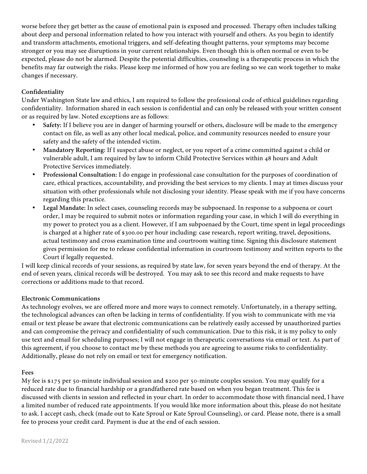worse before they get better as the cause of emotional pain is exposed and processed. Therapy often includes talking about deep and personal information related to how you interact with yourself and others. As you begin to identify and transform attachments, emotional triggers, and self-defeating thought patterns, your symptoms may become stronger or you may see disruptions in your current relationships. Even though this is often normal or even to be expected, please do not be alarmed. Despite the potential difficulties, counseling is a therapeutic process in which the benefits may far outweigh the risks. Please keep me informed of how you are feeling so we can work together to make changes if necessary.

# **Confidentiality**

Under Washington State law and ethics, I am required to follow the professional code of ethical guidelines regarding confidentiality. Information shared in each session is confidential and can only be released with your written consent or as required by law. Noted exceptions are as follows:

- **Safety:** If I believe you are in danger of harming yourself or others, disclosure will be made to the emergency contact on file, as well as any other local medical, police, and community resources needed to ensure your safety and the safety of the intended victim.
- **Mandatory Reporting:** If I suspect abuse or neglect, or you report of a crime committed against a child or vulnerable adult, I am required by law to inform Child Protective Services within 48 hours and Adult Protective Services immediately.
- **Professional Consultation:** I do engage in professional case consultation for the purposes of coordination of care, ethical practices, accountability, and providing the best services to my clients. I may at times discuss your situation with other professionals while not disclosing your identity. Please speak with me if you have concerns regarding this practice.
- **Legal Mandate:** In select cases, counseling records may be subpoenaed. In response to a subpoena or court order, I may be required to submit notes or information regarding your case, in which I will do everything in my power to protect you as a client. However, if I am subpoenaed by the Court, time spent in legal proceedings is charged at a higher rate of \$300.00 per hour including: case research, report writing, travel, depositions, actual testimony and cross examination time and courtroom waiting time. Signing this disclosure statement gives permission for me to release confidential information in courtroom testimony and written reports to the Court if legally requested.

I will keep clinical records of your sessions, as required by state law, for seven years beyond the end of therapy. At the end of seven years, clinical records will be destroyed. You may ask to see this record and make requests to have corrections or additions made to that record.

# **Electronic Communications**

As technology evolves, we are offered more and more ways to connect remotely. Unfortunately, in a therapy setting, the technological advances can often be lacking in terms of confidentiality. If you wish to communicate with me via email or text please be aware that electronic communications can be relatively easily accessed by unauthorized parties and can compromise the privacy and confidentiality of such communication. Due to this risk, it is my policy to only use text and email for scheduling purposes; I will not engage in therapeutic conversations via email or text. As part of this agreement, if you choose to contact me by these methods you are agreeing to assume risks to confidentiality. Additionally, please do not rely on email or text for emergency notification.

#### **Fees**

My fee is \$175 per 50-minute individual session and \$200 per 50-minute couples session. You may qualify for a reduced rate due to financial hardship or a grandfathered rate based on when you began treatment. This fee is discussed with clients in session and reflected in your chart. In order to accommodate those with financial need, I have a limited number of reduced rate appointments. If you would like more information about this, please do not hesitate to ask. I accept cash, check (made out to Kate Sproul or Kate Sproul Counseling), or card. Please note, there is a small fee to process your credit card. Payment is due at the end of each session.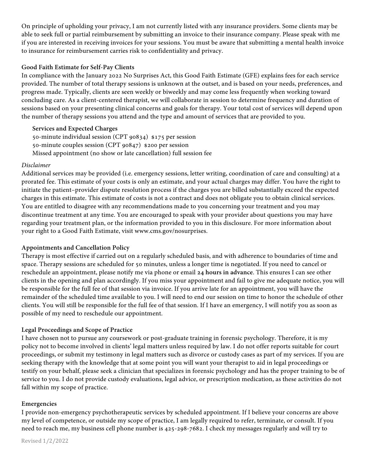On principle of upholding your privacy, I am not currently listed with any insurance providers. Some clients may be able to seek full or partial reimbursement by submitting an invoice to their insurance company. Please speak with me if you are interested in receiving invoices for your sessions. You must be aware that submitting a mental health invoice to insurance for reimbursement carries risk to confidentiality and privacy.

#### **Good Faith Estimate for Self-Pay Clients**

In compliance with the January 2022 No Surprises Act, this Good Faith Estimate (GFE) explains fees for each service provided. The number of total therapy sessions is unknown at the outset, and is based on your needs, preferences, and progress made. Typically, clients are seen weekly or biweekly and may come less frequently when working toward concluding care. As a client-centered therapist, we will collaborate in session to determine frequency and duration of sessions based on your presenting clinical concerns and goals for therapy. Your total cost of services will depend upon the number of therapy sessions you attend and the type and amount of services that are provided to you.

# **Services and Expected Charges**

50-minute individual session (CPT 90834) \$175 per session 50-minute couples session (CPT 90847) \$200 per session Missed appointment (no show or late cancellation) full session fee

#### *Disclaimer*

Additional services may be provided (i.e. emergency sessions, letter writing, coordination of care and consulting) at a prorated fee. This estimate of your costs is only an estimate, and your actual charges may differ. You have the right to initiate the patient–provider dispute resolution process if the charges you are billed substantially exceed the expected charges in this estimate. This estimate of costs is not a contract and does not obligate you to obtain clinical services. You are entitled to disagree with any recommendations made to you concerning your treatment and you may discontinue treatment at any time. You are encouraged to speak with your provider about questions you may have regarding your treatment plan, or the information provided to you in this disclosure. For more information about your right to a Good Faith Estimate, visit www.cms.gov/nosurprises.

#### **Appointments and Cancellation Policy**

Therapy is most effective if carried out on a regularly scheduled basis, and with adherence to boundaries of time and space. Therapy sessions are scheduled for 50 minutes, unless a longer time is negotiated. If you need to cancel or reschedule an appointment, please notify me via phone or email **24 hours in advance**. This ensures I can see other clients in the opening and plan accordingly. If you miss your appointment and fail to give me adequate notice, you will be responsible for the full fee of that session via invoice. If you arrive late for an appointment, you will have the remainder of the scheduled time available to you. I will need to end our session on time to honor the schedule of other clients. You will still be responsible for the full fee of that session. If I have an emergency, I will notify you as soon as possible of my need to reschedule our appointment.

#### **Legal Proceedings and Scope of Practice**

I have chosen not to pursue any coursework or post-graduate training in forensic psychology. Therefore, it is my policy not to become involved in clients' legal matters unless required by law. I do not offer reports suitable for court proceedings, or submit my testimony in legal matters such as divorce or custody cases as part of my services. If you are seeking therapy with the knowledge that at some point you will want your therapist to aid in legal proceedings or testify on your behalf, please seek a clinician that specializes in forensic psychology and has the proper training to be of service to you. I do not provide custody evaluations, legal advice, or prescription medication, as these activities do not fall within my scope of practice.

#### **Emergencies**

I provide non-emergency psychotherapeutic services by scheduled appointment. If I believe your concerns are above my level of competence, or outside my scope of practice, I am legally required to refer, terminate, or consult. If you need to reach me, my business cell phone number is 425-298-7682. I check my messages regularly and will try to